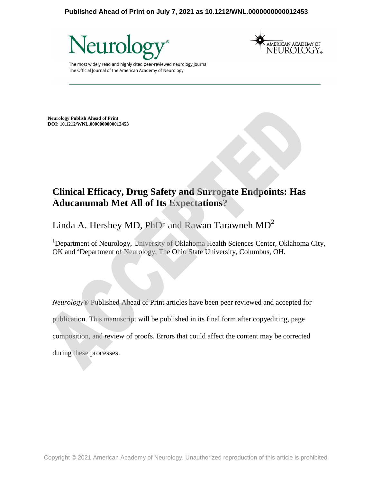#### **Published Ahead of Print on July 7, 2021 as 10.1212/WNL.0000000000012453**





The most widely read and highly cited peer-reviewed neurology journal The Official Journal of the American Academy of Neurology

**Neurology Publish Ahead of Print DOI: 10.1212/WNL.0000000000012453**

## **Clinical Efficacy, Drug Safety and Surrogate Endpoints: Has Aducanumab Met All of Its Expectations?**

# Linda A. Hershey MD,  $PhD^1$  and Rawan Tarawneh  $MD^2$

<sup>1</sup>Department of Neurology, University of Oklahoma Health Sciences Center, Oklahoma City, OK and <sup>2</sup>Department of Neurology, The Ohio State University, Columbus, OH.

*Neurology*® Published Ahead of Print articles have been peer reviewed and accepted for publication. This manuscript will be published in its final form after copyediting, page composition, and review of proofs. Errors that could affect the content may be corrected during these processes.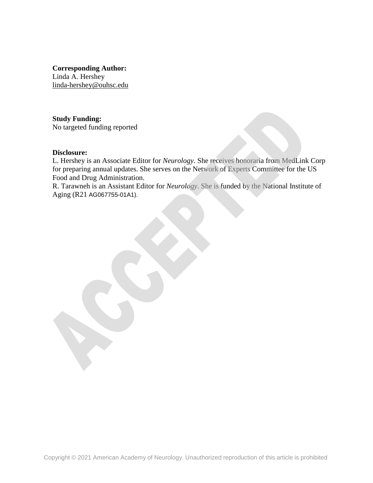**Corresponding Author:**  Linda A. Hershey linda-hershey@ouhsc.edu

**Study Funding:**  No targeted funding reported

#### **Disclosure:**

L. Hershey is an Associate Editor for *Neurology*. She receives honoraria from MedLink Corp for preparing annual updates. She serves on the Network of Experts Committee for the US Food and Drug Administration.

R. Tarawneh is an Assistant Editor for *Neurology*. She is funded by the National Institute of Aging (R21 AG067755-01A1).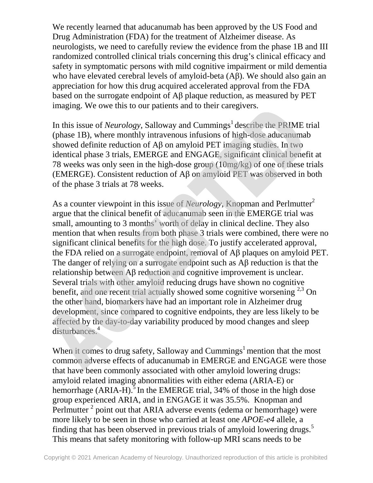We recently learned that aducanumab has been approved by the US Food and Drug Administration (FDA) for the treatment of Alzheimer disease. As neurologists, we need to carefully review the evidence from the phase 1B and III randomized controlled clinical trials concerning this drug's clinical efficacy and safety in symptomatic persons with mild cognitive impairment or mild dementia who have elevated cerebral levels of amyloid-beta (Aβ). We should also gain an appreciation for how this drug acquired accelerated approval from the FDA based on the surrogate endpoint of Aβ plaque reduction, as measured by PET imaging. We owe this to our patients and to their caregivers.

In this issue of *Neurology*, Salloway and Cummings<sup>1</sup> describe the PRIME trial (phase 1B), where monthly intravenous infusions of high-dose aducanumab showed definite reduction of Aβ on amyloid PET imaging studies. In two identical phase 3 trials, EMERGE and ENGAGE, significant clinical benefit at 78 weeks was only seen in the high-dose group (10mg/kg) of one of these trials (EMERGE). Consistent reduction of Aβ on amyloid PET was observed in both of the phase 3 trials at 78 weeks.

As a counter viewpoint in this issue of *Neurology*, Knopman and Perlmutter<sup>2</sup> argue that the clinical benefit of aducanumab seen in the EMERGE trial was small, amounting to 3 months' worth of delay in clinical decline. They also mention that when results from both phase 3 trials were combined, there were no significant clinical benefits for the high dose. To justify accelerated approval, the FDA relied on a surrogate endpoint, removal of Aβ plaques on amyloid PET. The danger of relying on a surrogate endpoint such as Aβ reduction is that the relationship between Aβ reduction and cognitive improvement is unclear. Several trials with other amyloid reducing drugs have shown no cognitive benefit, and one recent trial actually showed some cognitive worsening  $2.3$  On the other hand, biomarkers have had an important role in Alzheimer drug development, since compared to cognitive endpoints, they are less likely to be affected by the day-to-day variability produced by mood changes and sleep disturbances.<sup>4</sup>

When it comes to drug safety, Salloway and Cummings<sup>1</sup> mention that the most common adverse effects of aducanumab in EMERGE and ENGAGE were those that have been commonly associated with other amyloid lowering drugs: amyloid related imaging abnormalities with either edema (ARIA-E) or hemorrhage  $(ARIA-H)$ .<sup>5</sup> In the EMERGE trial, 34% of those in the high dose group experienced ARIA, and in ENGAGE it was 35.5%. Knopman and Perlmutter<sup>2</sup> point out that ARIA adverse events (edema or hemorrhage) were more likely to be seen in those who carried at least one *APOE-e4* allele, a finding that has been observed in previous trials of amyloid lowering drugs.<sup>5</sup> This means that safety monitoring with follow-up MRI scans needs to be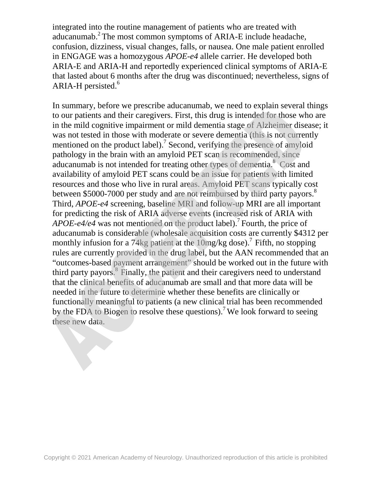integrated into the routine management of patients who are treated with aducanumab.<sup>2</sup> The most common symptoms of ARIA-E include headache, confusion, dizziness, visual changes, falls, or nausea. One male patient enrolled in ENGAGE was a homozygous *APOE-e4* allele carrier. He developed both ARIA-E and ARIA-H and reportedly experienced clinical symptoms of ARIA-E that lasted about 6 months after the drug was discontinued; nevertheless, signs of ARIA-H persisted. $6$ 

In summary, before we prescribe aducanumab, we need to explain several things to our patients and their caregivers. First, this drug is intended for those who are in the mild cognitive impairment or mild dementia stage of Alzheimer disease; it was not tested in those with moderate or severe dementia (this is not currently mentioned on the product label).<sup>7</sup> Second, verifying the presence of amyloid pathology in the brain with an amyloid PET scan is recommended, since aducanumab is not intended for treating other types of dementia.<sup>8</sup> Cost and availability of amyloid PET scans could be an issue for patients with limited resources and those who live in rural areas. Amyloid PET scans typically cost between \$5000-7000 per study and are not reimbursed by third party payors.<sup>8</sup> Third, *APOE-e4* screening, baseline MRI and follow-up MRI are all important for predicting the risk of ARIA adverse events (increased risk of ARIA with *APOE-e4/e4* was not mentioned on the product label).<sup>7</sup> Fourth, the price of aducanumab is considerable (wholesale acquisition costs are currently \$4312 per monthly infusion for a 74kg patient at the  $10$ mg/kg dose).<sup>7</sup> Fifth, no stopping rules are currently provided in the drug label, but the AAN recommended that an "outcomes-based payment arrangement" should be worked out in the future with third party payors.<sup>8</sup> Finally, the patient and their caregivers need to understand that the clinical benefits of aducanumab are small and that more data will be needed in the future to determine whether these benefits are clinically or functionally meaningful to patients (a new clinical trial has been recommended by the FDA to Biogen to resolve these questions).<sup>7</sup> We look forward to seeing these new data.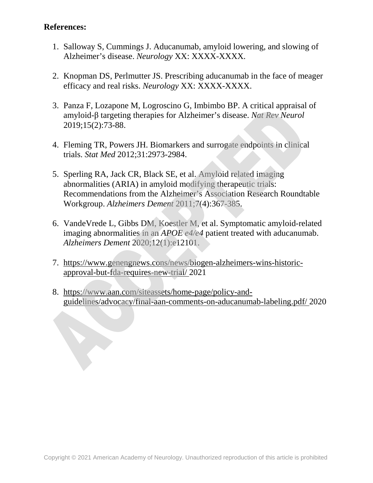### **References:**

- 1. Salloway S, Cummings J. Aducanumab, amyloid lowering, and slowing of Alzheimer's disease. *Neurology* XX: XXXX-XXXX.
- 2. Knopman DS, Perlmutter JS. Prescribing aducanumab in the face of meager efficacy and real risks. *Neurology* XX: XXXX-XXXX.
- 3. Panza F, Lozapone M, Logroscino G, Imbimbo BP. A critical appraisal of amyloid-β targeting therapies for Alzheimer's disease. *Nat Rev Neurol* 2019;15(2):73-88.
- 4. Fleming TR, Powers JH. Biomarkers and surrogate endpoints in clinical trials. *Stat Med* 2012;31:2973-2984.
- 5. Sperling RA, Jack CR, Black SE, et al. Amyloid related imaging abnormalities (ARIA) in amyloid modifying therapeutic trials: Recommendations from the Alzheimer's Association Research Roundtable Workgroup. *Alzheimers Dement* 2011;7(4):367-385.
- 6. VandeVrede L, Gibbs DM, Koestler M, et al. Symptomatic amyloid-related imaging abnormalities in an *APOE e4/e4* patient treated with aducanumab. *Alzheimers Dement* 2020;12(1):e12101.
- 7. https://www.genengnews.cons/news/biogen-alzheimers-wins-historicapproval-but-fda-requires-new-trial/ 2021
- 8. https://www.aan.com/siteassets/home-page/policy-andguidelines/advocacy/final-aan-comments-on-aducanumab-labeling.pdf/ 2020